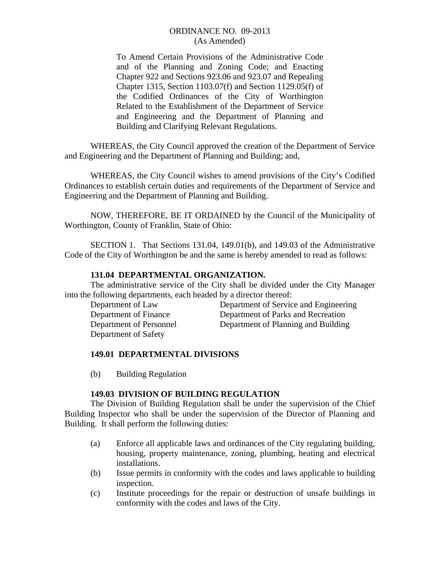To Amend Certain Provisions of the Administrative Code and of the Planning and Zoning Code; and Enacting Chapter 922 and Sections 923.06 and 923.07 and Repealing Chapter 1315, Section 1103.07(f) and Section 1129.05(f) of the Codified Ordinances of the City of Worthington Related to the Establishment of the Department of Service and Engineering and the Department of Planning and Building and Clarifying Relevant Regulations.

 WHEREAS, the City Council approved the creation of the Department of Service and Engineering and the Department of Planning and Building; and,

 WHEREAS, the City Council wishes to amend provisions of the City's Codified Ordinances to establish certain duties and requirements of the Department of Service and Engineering and the Department of Planning and Building.

 NOW, THEREFORE, BE IT ORDAINED by the Council of the Municipality of Worthington, County of Franklin, State of Ohio:

 SECTION 1. That Sections 131.04, 149.01(b), and 149.03 of the Administrative Code of the City of Worthington be and the same is hereby amended to read as follows:

## **131.04 DEPARTMENTAL ORGANIZATION.**

 The administrative service of the City shall be divided under the City Manager into the following departments, each headed by a director thereof:

Department of Safety

 Department of Law Department of Service and Engineering Department of Finance Department of Parks and Recreation Department of Personnel Department of Planning and Building

# **149.01 DEPARTMENTAL DIVISIONS**

(b) Building Regulation

## **149.03 DIVISION OF BUILDING REGULATION**

 The Division of Building Regulation shall be under the supervision of the Chief Building Inspector who shall be under the supervision of the Director of Planning and Building. It shall perform the following duties:

- (a) Enforce all applicable laws and ordinances of the City regulating building, housing, property maintenance, zoning, plumbing, heating and electrical installations.
- (b) Issue permits in conformity with the codes and laws applicable to building inspection.
- (c) Institute proceedings for the repair or destruction of unsafe buildings in conformity with the codes and laws of the City.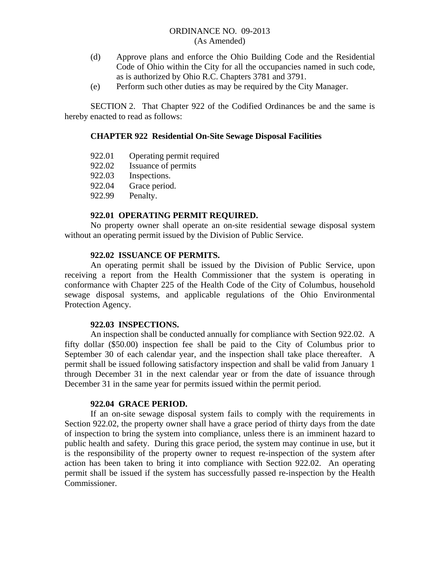- (d) Approve plans and enforce the Ohio Building Code and the Residential Code of Ohio within the City for all the occupancies named in such code, as is authorized by Ohio R.C. Chapters 3781 and 3791.
- (e) Perform such other duties as may be required by the City Manager.

SECTION 2. That Chapter 922 of the Codified Ordinances be and the same is hereby enacted to read as follows:

### **CHAPTER 922 Residential On-Site Sewage Disposal Facilities**

- 922.01 Operating permit required
- 922.02 Issuance of permits
- 922.03 Inspections.
- 922.04 Grace period.
- 922.99 Penalty.

#### **922.01 OPERATING PERMIT REQUIRED.**

 No property owner shall operate an on-site residential sewage disposal system without an operating permit issued by the Division of Public Service.

#### **922.02 ISSUANCE OF PERMITS.**

 An operating permit shall be issued by the Division of Public Service, upon receiving a report from the Health Commissioner that the system is operating in conformance with Chapter 225 of the Health Code of the City of Columbus, household sewage disposal systems, and applicable regulations of the Ohio Environmental Protection Agency.

#### **922.03 INSPECTIONS.**

 An inspection shall be conducted annually for compliance with Section 922.02. A fifty dollar (\$50.00) inspection fee shall be paid to the City of Columbus prior to September 30 of each calendar year, and the inspection shall take place thereafter. A permit shall be issued following satisfactory inspection and shall be valid from January 1 through December 31 in the next calendar year or from the date of issuance through December 31 in the same year for permits issued within the permit period.

#### **922.04 GRACE PERIOD.**

 If an on-site sewage disposal system fails to comply with the requirements in Section 922.02, the property owner shall have a grace period of thirty days from the date of inspection to bring the system into compliance, unless there is an imminent hazard to public health and safety. During this grace period, the system may continue in use, but it is the responsibility of the property owner to request re-inspection of the system after action has been taken to bring it into compliance with Section 922.02. An operating permit shall be issued if the system has successfully passed re-inspection by the Health Commissioner.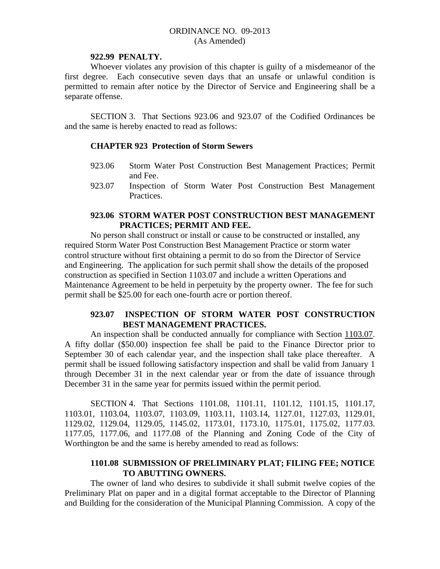#### **922.99 PENALTY.**

 Whoever violates any provision of this chapter is guilty of a misdemeanor of the first degree. Each consecutive seven days that an unsafe or unlawful condition is permitted to remain after notice by the Director of Service and Engineering shall be a separate offense.

SECTION 3. That Sections 923.06 and 923.07 of the Codified Ordinances be and the same is hereby enacted to read as follows:

## **CHAPTER 923 Protection of Storm Sewers**

- 923.06 Storm Water Post Construction Best Management Practices; Permit and Fee.
- 923.07 Inspection of Storm Water Post Construction Best Management Practices.

## **923.06 STORM WATER POST CONSTRUCTION BEST MANAGEMENT PRACTICES; PERMIT AND FEE.**

 No person shall construct or install or cause to be constructed or installed, any required Storm Water Post Construction Best Management Practice or storm water control structure without first obtaining a permit to do so from the Director of Service and Engineering. The application for such permit shall show the details of the proposed construction as specified in Section 1103.07 and include a written Operations and Maintenance Agreement to be held in perpetuity by the property owner. The fee for such permit shall be \$25.00 for each one-fourth acre or portion thereof.

## **923.07 INSPECTION OF STORM WATER POST CONSTRUCTION BEST MANAGEMENT PRACTICES.**

 An inspection shall be conducted annually for compliance with Section 1103.07. A fifty dollar (\$50.00) inspection fee shall be paid to the Finance Director prior to September 30 of each calendar year, and the inspection shall take place thereafter. A permit shall be issued following satisfactory inspection and shall be valid from January 1 through December 31 in the next calendar year or from the date of issuance through December 31 in the same year for permits issued within the permit period.

SECTION 4. That Sections 1101.08, 1101.11, 1101.12, 1101.15, 1101.17, 1103.01, 1103.04, 1103.07, 1103.09, 1103.11, 1103.14, 1127.01, 1127.03, 1129.01, 1129.02, 1129.04, 1129.05, 1145.02, 1173.01, 1173.10, 1175.01, 1175.02, 1177.03. 1177.05, 1177.06, and 1177.08 of the Planning and Zoning Code of the City of Worthington be and the same is hereby amended to read as follows:

# **1101.08 SUBMISSION OF PRELIMINARY PLAT; FILING FEE; NOTICE TO ABUTTING OWNERS.**

 The owner of land who desires to subdivide it shall submit twelve copies of the Preliminary Plat on paper and in a digital format acceptable to the Director of Planning and Building for the consideration of the Municipal Planning Commission. A copy of the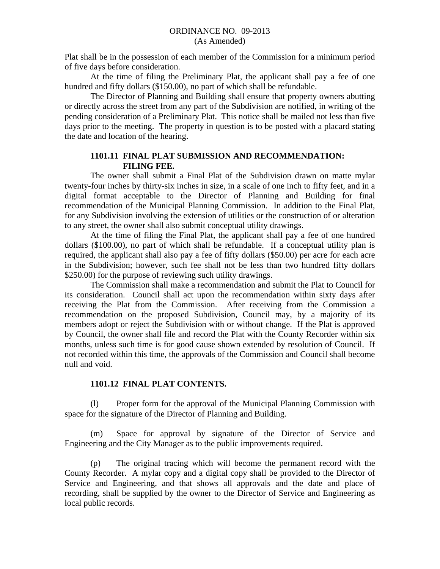Plat shall be in the possession of each member of the Commission for a minimum period of five days before consideration.

 At the time of filing the Preliminary Plat, the applicant shall pay a fee of one hundred and fifty dollars (\$150.00), no part of which shall be refundable.

 The Director of Planning and Building shall ensure that property owners abutting or directly across the street from any part of the Subdivision are notified, in writing of the pending consideration of a Preliminary Plat. This notice shall be mailed not less than five days prior to the meeting. The property in question is to be posted with a placard stating the date and location of the hearing.

# **1101.11 FINAL PLAT SUBMISSION AND RECOMMENDATION: FILING FEE.**

 The owner shall submit a Final Plat of the Subdivision drawn on matte mylar twenty-four inches by thirty-six inches in size, in a scale of one inch to fifty feet, and in a digital format acceptable to the Director of Planning and Building for final recommendation of the Municipal Planning Commission. In addition to the Final Plat, for any Subdivision involving the extension of utilities or the construction of or alteration to any street, the owner shall also submit conceptual utility drawings.

 At the time of filing the Final Plat, the applicant shall pay a fee of one hundred dollars (\$100.00), no part of which shall be refundable. If a conceptual utility plan is required, the applicant shall also pay a fee of fifty dollars (\$50.00) per acre for each acre in the Subdivision; however, such fee shall not be less than two hundred fifty dollars \$250.00) for the purpose of reviewing such utility drawings.

 The Commission shall make a recommendation and submit the Plat to Council for its consideration. Council shall act upon the recommendation within sixty days after receiving the Plat from the Commission. After receiving from the Commission a recommendation on the proposed Subdivision, Council may, by a majority of its members adopt or reject the Subdivision with or without change. If the Plat is approved by Council, the owner shall file and record the Plat with the County Recorder within six months, unless such time is for good cause shown extended by resolution of Council. If not recorded within this time, the approvals of the Commission and Council shall become null and void.

# **1101.12 FINAL PLAT CONTENTS.**

 (l) Proper form for the approval of the Municipal Planning Commission with space for the signature of the Director of Planning and Building.

 (m) Space for approval by signature of the Director of Service and Engineering and the City Manager as to the public improvements required.

 (p) The original tracing which will become the permanent record with the County Recorder. A mylar copy and a digital copy shall be provided to the Director of Service and Engineering, and that shows all approvals and the date and place of recording, shall be supplied by the owner to the Director of Service and Engineering as local public records.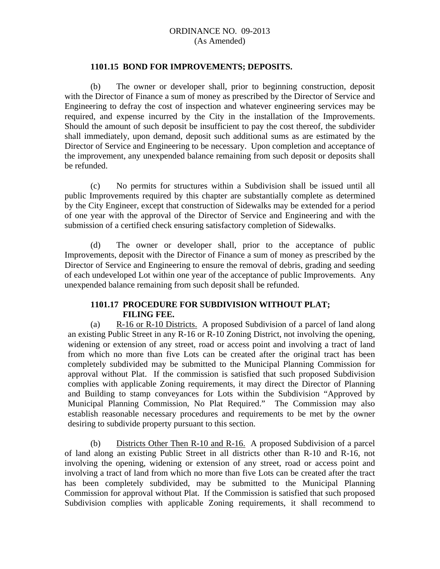#### **1101.15 BOND FOR IMPROVEMENTS; DEPOSITS.**

 (b) The owner or developer shall, prior to beginning construction, deposit with the Director of Finance a sum of money as prescribed by the Director of Service and Engineering to defray the cost of inspection and whatever engineering services may be required, and expense incurred by the City in the installation of the Improvements. Should the amount of such deposit be insufficient to pay the cost thereof, the subdivider shall immediately, upon demand, deposit such additional sums as are estimated by the Director of Service and Engineering to be necessary. Upon completion and acceptance of the improvement, any unexpended balance remaining from such deposit or deposits shall be refunded.

 (c) No permits for structures within a Subdivision shall be issued until all public Improvements required by this chapter are substantially complete as determined by the City Engineer, except that construction of Sidewalks may be extended for a period of one year with the approval of the Director of Service and Engineering and with the submission of a certified check ensuring satisfactory completion of Sidewalks.

 (d) The owner or developer shall, prior to the acceptance of public Improvements, deposit with the Director of Finance a sum of money as prescribed by the Director of Service and Engineering to ensure the removal of debris, grading and seeding of each undeveloped Lot within one year of the acceptance of public Improvements. Any unexpended balance remaining from such deposit shall be refunded.

## **1101.17 PROCEDURE FOR SUBDIVISION WITHOUT PLAT; FILING FEE.**

(a) R-16 or R-10 Districts. A proposed Subdivision of a parcel of land along an existing Public Street in any R-16 or R-10 Zoning District, not involving the opening, widening or extension of any street, road or access point and involving a tract of land from which no more than five Lots can be created after the original tract has been completely subdivided may be submitted to the Municipal Planning Commission for approval without Plat. If the commission is satisfied that such proposed Subdivision complies with applicable Zoning requirements, it may direct the Director of Planning and Building to stamp conveyances for Lots within the Subdivision "Approved by Municipal Planning Commission, No Plat Required." The Commission may also establish reasonable necessary procedures and requirements to be met by the owner desiring to subdivide property pursuant to this section.

(b) Districts Other Then R-10 and R-16. A proposed Subdivision of a parcel of land along an existing Public Street in all districts other than R-10 and R-16, not involving the opening, widening or extension of any street, road or access point and involving a tract of land from which no more than five Lots can be created after the tract has been completely subdivided, may be submitted to the Municipal Planning Commission for approval without Plat. If the Commission is satisfied that such proposed Subdivision complies with applicable Zoning requirements, it shall recommend to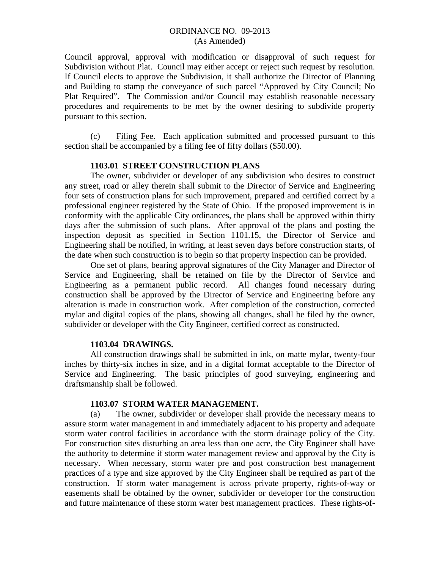Council approval, approval with modification or disapproval of such request for Subdivision without Plat. Council may either accept or reject such request by resolution. If Council elects to approve the Subdivision, it shall authorize the Director of Planning and Building to stamp the conveyance of such parcel "Approved by City Council; No Plat Required". The Commission and/or Council may establish reasonable necessary procedures and requirements to be met by the owner desiring to subdivide property pursuant to this section.

(c) Filing Fee. Each application submitted and processed pursuant to this section shall be accompanied by a filing fee of fifty dollars (\$50.00).

### **1103.01 STREET CONSTRUCTION PLANS**

The owner, subdivider or developer of any subdivision who desires to construct any street, road or alley therein shall submit to the Director of Service and Engineering four sets of construction plans for such improvement, prepared and certified correct by a professional engineer registered by the State of Ohio. If the proposed improvement is in conformity with the applicable City ordinances, the plans shall be approved within thirty days after the submission of such plans. After approval of the plans and posting the inspection deposit as specified in Section 1101.15, the Director of Service and Engineering shall be notified, in writing, at least seven days before construction starts, of the date when such construction is to begin so that property inspection can be provided.

One set of plans, bearing approval signatures of the City Manager and Director of Service and Engineering, shall be retained on file by the Director of Service and Engineering as a permanent public record. All changes found necessary during construction shall be approved by the Director of Service and Engineering before any alteration is made in construction work. After completion of the construction, corrected mylar and digital copies of the plans, showing all changes, shall be filed by the owner, subdivider or developer with the City Engineer, certified correct as constructed.

#### **1103.04 DRAWINGS.**

All construction drawings shall be submitted in ink, on matte mylar, twenty-four inches by thirty-six inches in size, and in a digital format acceptable to the Director of Service and Engineering. The basic principles of good surveying, engineering and draftsmanship shall be followed.

#### **1103.07 STORM WATER MANAGEMENT.**

 (a) The owner, subdivider or developer shall provide the necessary means to assure storm water management in and immediately adjacent to his property and adequate storm water control facilities in accordance with the storm drainage policy of the City. For construction sites disturbing an area less than one acre, the City Engineer shall have the authority to determine if storm water management review and approval by the City is necessary. When necessary, storm water pre and post construction best management practices of a type and size approved by the City Engineer shall be required as part of the construction. If storm water management is across private property, rights-of-way or easements shall be obtained by the owner, subdivider or developer for the construction and future maintenance of these storm water best management practices. These rights-of-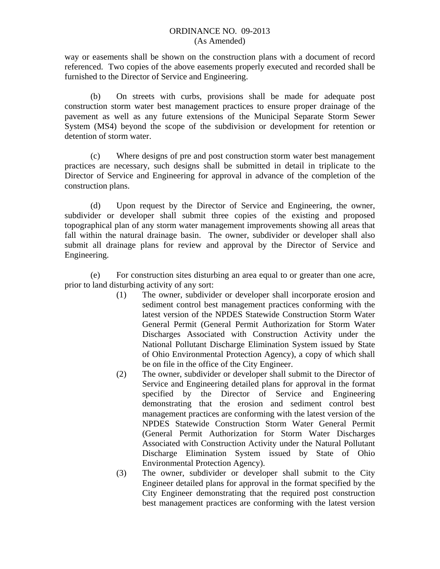way or easements shall be shown on the construction plans with a document of record referenced. Two copies of the above easements properly executed and recorded shall be furnished to the Director of Service and Engineering.

 (b) On streets with curbs, provisions shall be made for adequate post construction storm water best management practices to ensure proper drainage of the pavement as well as any future extensions of the Municipal Separate Storm Sewer System (MS4) beyond the scope of the subdivision or development for retention or detention of storm water.

(c) Where designs of pre and post construction storm water best management practices are necessary, such designs shall be submitted in detail in triplicate to the Director of Service and Engineering for approval in advance of the completion of the construction plans.

(d) Upon request by the Director of Service and Engineering, the owner, subdivider or developer shall submit three copies of the existing and proposed topographical plan of any storm water management improvements showing all areas that fall within the natural drainage basin. The owner, subdivider or developer shall also submit all drainage plans for review and approval by the Director of Service and Engineering.

(e) For construction sites disturbing an area equal to or greater than one acre, prior to land disturbing activity of any sort:

- (1) The owner, subdivider or developer shall incorporate erosion and sediment control best management practices conforming with the latest version of the NPDES Statewide Construction Storm Water General Permit (General Permit Authorization for Storm Water Discharges Associated with Construction Activity under the National Pollutant Discharge Elimination System issued by State of Ohio Environmental Protection Agency), a copy of which shall be on file in the office of the City Engineer.
- (2) The owner, subdivider or developer shall submit to the Director of Service and Engineering detailed plans for approval in the format specified by the Director of Service and Engineering demonstrating that the erosion and sediment control best management practices are conforming with the latest version of the NPDES Statewide Construction Storm Water General Permit (General Permit Authorization for Storm Water Discharges Associated with Construction Activity under the Natural Pollutant Discharge Elimination System issued by State of Ohio Environmental Protection Agency).
- (3) The owner, subdivider or developer shall submit to the City Engineer detailed plans for approval in the format specified by the City Engineer demonstrating that the required post construction best management practices are conforming with the latest version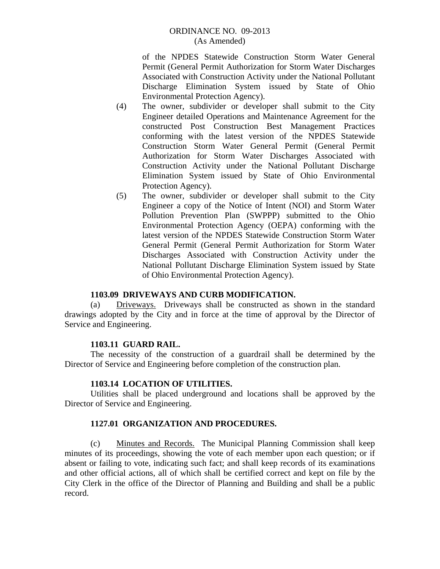of the NPDES Statewide Construction Storm Water General Permit (General Permit Authorization for Storm Water Discharges Associated with Construction Activity under the National Pollutant Discharge Elimination System issued by State of Ohio Environmental Protection Agency).

- (4) The owner, subdivider or developer shall submit to the City Engineer detailed Operations and Maintenance Agreement for the constructed Post Construction Best Management Practices conforming with the latest version of the NPDES Statewide Construction Storm Water General Permit (General Permit Authorization for Storm Water Discharges Associated with Construction Activity under the National Pollutant Discharge Elimination System issued by State of Ohio Environmental Protection Agency).
- (5) The owner, subdivider or developer shall submit to the City Engineer a copy of the Notice of Intent (NOI) and Storm Water Pollution Prevention Plan (SWPPP) submitted to the Ohio Environmental Protection Agency (OEPA) conforming with the latest version of the NPDES Statewide Construction Storm Water General Permit (General Permit Authorization for Storm Water Discharges Associated with Construction Activity under the National Pollutant Discharge Elimination System issued by State of Ohio Environmental Protection Agency).

## **1103.09 DRIVEWAYS AND CURB MODIFICATION.**

 (a) Driveways. Driveways shall be constructed as shown in the standard drawings adopted by the City and in force at the time of approval by the Director of Service and Engineering.

## **1103.11 GUARD RAIL.**

 The necessity of the construction of a guardrail shall be determined by the Director of Service and Engineering before completion of the construction plan.

## **1103.14 LOCATION OF UTILITIES.**

 Utilities shall be placed underground and locations shall be approved by the Director of Service and Engineering.

## **1127.01 ORGANIZATION AND PROCEDURES.**

 (c) Minutes and Records. The Municipal Planning Commission shall keep minutes of its proceedings, showing the vote of each member upon each question; or if absent or failing to vote, indicating such fact; and shall keep records of its examinations and other official actions, all of which shall be certified correct and kept on file by the City Clerk in the office of the Director of Planning and Building and shall be a public record.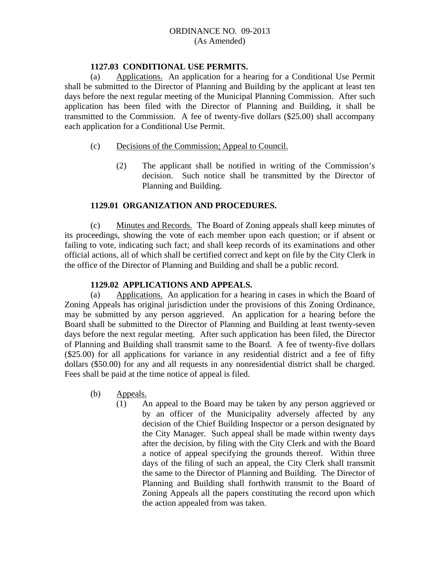## **1127.03 CONDITIONAL USE PERMITS.**

 (a) Applications. An application for a hearing for a Conditional Use Permit shall be submitted to the Director of Planning and Building by the applicant at least ten days before the next regular meeting of the Municipal Planning Commission. After such application has been filed with the Director of Planning and Building, it shall be transmitted to the Commission. A fee of twenty-five dollars (\$25.00) shall accompany each application for a Conditional Use Permit.

### (c) Decisions of the Commission; Appeal to Council.

(2) The applicant shall be notified in writing of the Commission's decision. Such notice shall be transmitted by the Director of Planning and Building.

## **1129.01 ORGANIZATION AND PROCEDURES.**

 (c) Minutes and Records. The Board of Zoning appeals shall keep minutes of its proceedings, showing the vote of each member upon each question; or if absent or failing to vote, indicating such fact; and shall keep records of its examinations and other official actions, all of which shall be certified correct and kept on file by the City Clerk in the office of the Director of Planning and Building and shall be a public record.

#### **1129.02 APPLICATIONS AND APPEALS.**

 (a) Applications. An application for a hearing in cases in which the Board of Zoning Appeals has original jurisdiction under the provisions of this Zoning Ordinance, may be submitted by any person aggrieved. An application for a hearing before the Board shall be submitted to the Director of Planning and Building at least twenty-seven days before the next regular meeting. After such application has been filed, the Director of Planning and Building shall transmit same to the Board. A fee of twenty-five dollars (\$25.00) for all applications for variance in any residential district and a fee of fifty dollars (\$50.00) for any and all requests in any nonresidential district shall be charged. Fees shall be paid at the time notice of appeal is filed.

- (b) Appeals.
	- (1) An appeal to the Board may be taken by any person aggrieved or by an officer of the Municipality adversely affected by any decision of the Chief Building Inspector or a person designated by the City Manager. Such appeal shall be made within twenty days after the decision, by filing with the City Clerk and with the Board a notice of appeal specifying the grounds thereof. Within three days of the filing of such an appeal, the City Clerk shall transmit the same to the Director of Planning and Building. The Director of Planning and Building shall forthwith transmit to the Board of Zoning Appeals all the papers constituting the record upon which the action appealed from was taken.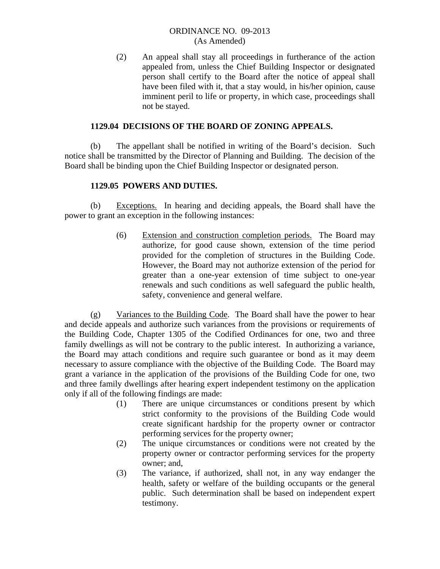(2) An appeal shall stay all proceedings in furtherance of the action appealed from, unless the Chief Building Inspector or designated person shall certify to the Board after the notice of appeal shall have been filed with it, that a stay would, in his/her opinion, cause imminent peril to life or property, in which case, proceedings shall not be stayed.

## **1129.04 DECISIONS OF THE BOARD OF ZONING APPEALS.**

 (b) The appellant shall be notified in writing of the Board's decision. Such notice shall be transmitted by the Director of Planning and Building. The decision of the Board shall be binding upon the Chief Building Inspector or designated person.

## **1129.05 POWERS AND DUTIES.**

 (b) Exceptions. In hearing and deciding appeals, the Board shall have the power to grant an exception in the following instances:

> (6) Extension and construction completion periods. The Board may authorize, for good cause shown, extension of the time period provided for the completion of structures in the Building Code. However, the Board may not authorize extension of the period for greater than a one-year extension of time subject to one-year renewals and such conditions as well safeguard the public health, safety, convenience and general welfare.

 (g) Variances to the Building Code. The Board shall have the power to hear and decide appeals and authorize such variances from the provisions or requirements of the Building Code, Chapter 1305 of the Codified Ordinances for one, two and three family dwellings as will not be contrary to the public interest. In authorizing a variance, the Board may attach conditions and require such guarantee or bond as it may deem necessary to assure compliance with the objective of the Building Code. The Board may grant a variance in the application of the provisions of the Building Code for one, two and three family dwellings after hearing expert independent testimony on the application only if all of the following findings are made:

- (1) There are unique circumstances or conditions present by which strict conformity to the provisions of the Building Code would create significant hardship for the property owner or contractor performing services for the property owner;
- (2) The unique circumstances or conditions were not created by the property owner or contractor performing services for the property owner; and,
- (3) The variance, if authorized, shall not, in any way endanger the health, safety or welfare of the building occupants or the general public. Such determination shall be based on independent expert testimony.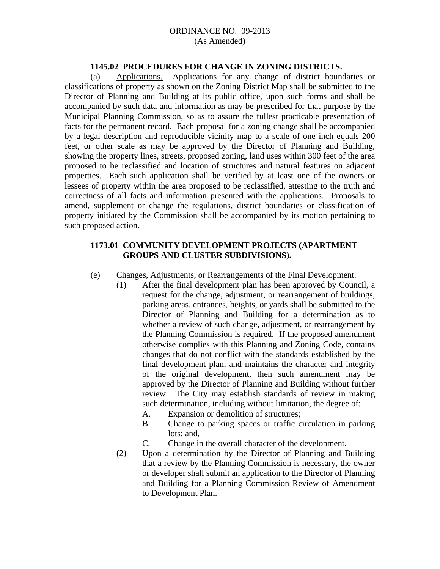#### **1145.02 PROCEDURES FOR CHANGE IN ZONING DISTRICTS.**

 (a) Applications. Applications for any change of district boundaries or classifications of property as shown on the Zoning District Map shall be submitted to the Director of Planning and Building at its public office, upon such forms and shall be accompanied by such data and information as may be prescribed for that purpose by the Municipal Planning Commission, so as to assure the fullest practicable presentation of facts for the permanent record. Each proposal for a zoning change shall be accompanied by a legal description and reproducible vicinity map to a scale of one inch equals 200 feet, or other scale as may be approved by the Director of Planning and Building, showing the property lines, streets, proposed zoning, land uses within 300 feet of the area proposed to be reclassified and location of structures and natural features on adjacent properties. Each such application shall be verified by at least one of the owners or lessees of property within the area proposed to be reclassified, attesting to the truth and correctness of all facts and information presented with the applications. Proposals to amend, supplement or change the regulations, district boundaries or classification of property initiated by the Commission shall be accompanied by its motion pertaining to such proposed action.

# **1173.01 COMMUNITY DEVELOPMENT PROJECTS (APARTMENT GROUPS AND CLUSTER SUBDIVISIONS).**

- (e) Changes, Adjustments, or Rearrangements of the Final Development.
	- (1) After the final development plan has been approved by Council, a request for the change, adjustment, or rearrangement of buildings, parking areas, entrances, heights, or yards shall be submitted to the Director of Planning and Building for a determination as to whether a review of such change, adjustment, or rearrangement by the Planning Commission is required. If the proposed amendment otherwise complies with this Planning and Zoning Code, contains changes that do not conflict with the standards established by the final development plan, and maintains the character and integrity of the original development, then such amendment may be approved by the Director of Planning and Building without further review. The City may establish standards of review in making such determination, including without limitation, the degree of:
		- A. Expansion or demolition of structures;
		- B. Change to parking spaces or traffic circulation in parking lots; and,
		- C. Change in the overall character of the development.
	- (2) Upon a determination by the Director of Planning and Building that a review by the Planning Commission is necessary, the owner or developer shall submit an application to the Director of Planning and Building for a Planning Commission Review of Amendment to Development Plan.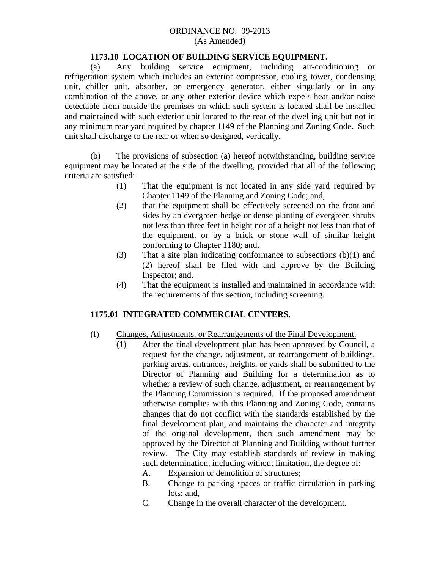### **1173.10 LOCATION OF BUILDING SERVICE EQUIPMENT.**

 (a) Any building service equipment, including air-conditioning or refrigeration system which includes an exterior compressor, cooling tower, condensing unit, chiller unit, absorber, or emergency generator, either singularly or in any combination of the above, or any other exterior device which expels heat and/or noise detectable from outside the premises on which such system is located shall be installed and maintained with such exterior unit located to the rear of the dwelling unit but not in any minimum rear yard required by chapter 1149 of the Planning and Zoning Code. Such unit shall discharge to the rear or when so designed, vertically.

 (b) The provisions of subsection (a) hereof notwithstanding, building service equipment may be located at the side of the dwelling, provided that all of the following criteria are satisfied:

- (1) That the equipment is not located in any side yard required by Chapter 1149 of the Planning and Zoning Code; and,
- (2) that the equipment shall be effectively screened on the front and sides by an evergreen hedge or dense planting of evergreen shrubs not less than three feet in height nor of a height not less than that of the equipment, or by a brick or stone wall of similar height conforming to Chapter 1180; and,
- (3) That a site plan indicating conformance to subsections  $(b)(1)$  and (2) hereof shall be filed with and approve by the Building Inspector; and,
- (4) That the equipment is installed and maintained in accordance with the requirements of this section, including screening.

## **1175.01 INTEGRATED COMMERCIAL CENTERS.**

- (f) Changes, Adjustments, or Rearrangements of the Final Development.
	- (1) After the final development plan has been approved by Council, a request for the change, adjustment, or rearrangement of buildings, parking areas, entrances, heights, or yards shall be submitted to the Director of Planning and Building for a determination as to whether a review of such change, adjustment, or rearrangement by the Planning Commission is required. If the proposed amendment otherwise complies with this Planning and Zoning Code, contains changes that do not conflict with the standards established by the final development plan, and maintains the character and integrity of the original development, then such amendment may be approved by the Director of Planning and Building without further review. The City may establish standards of review in making such determination, including without limitation, the degree of:
		- A. Expansion or demolition of structures;
		- B. Change to parking spaces or traffic circulation in parking lots; and,
		- C. Change in the overall character of the development.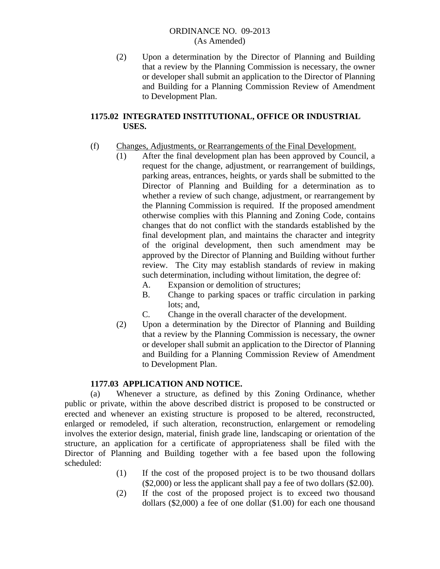(2) Upon a determination by the Director of Planning and Building that a review by the Planning Commission is necessary, the owner or developer shall submit an application to the Director of Planning and Building for a Planning Commission Review of Amendment to Development Plan.

# **1175.02 INTEGRATED INSTITUTIONAL, OFFICE OR INDUSTRIAL USES.**

# (f) Changes, Adjustments, or Rearrangements of the Final Development.

- (1) After the final development plan has been approved by Council, a request for the change, adjustment, or rearrangement of buildings, parking areas, entrances, heights, or yards shall be submitted to the Director of Planning and Building for a determination as to whether a review of such change, adjustment, or rearrangement by the Planning Commission is required. If the proposed amendment otherwise complies with this Planning and Zoning Code, contains changes that do not conflict with the standards established by the final development plan, and maintains the character and integrity of the original development, then such amendment may be approved by the Director of Planning and Building without further review. The City may establish standards of review in making such determination, including without limitation, the degree of:
	- A. Expansion or demolition of structures;
	- B. Change to parking spaces or traffic circulation in parking lots; and,
	- C. Change in the overall character of the development.
- (2) Upon a determination by the Director of Planning and Building that a review by the Planning Commission is necessary, the owner or developer shall submit an application to the Director of Planning and Building for a Planning Commission Review of Amendment to Development Plan.

## **1177.03 APPLICATION AND NOTICE.**

 (a) Whenever a structure, as defined by this Zoning Ordinance, whether public or private, within the above described district is proposed to be constructed or erected and whenever an existing structure is proposed to be altered, reconstructed, enlarged or remodeled, if such alteration, reconstruction, enlargement or remodeling involves the exterior design, material, finish grade line, landscaping or orientation of the structure, an application for a certificate of appropriateness shall be filed with the Director of Planning and Building together with a fee based upon the following scheduled:

- (1) If the cost of the proposed project is to be two thousand dollars (\$2,000) or less the applicant shall pay a fee of two dollars (\$2.00).
- (2) If the cost of the proposed project is to exceed two thousand dollars (\$2,000) a fee of one dollar (\$1.00) for each one thousand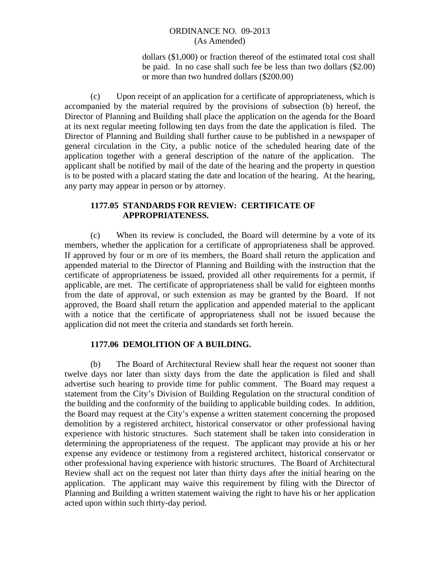dollars (\$1,000) or fraction thereof of the estimated total cost shall be paid. In no case shall such fee be less than two dollars (\$2.00) or more than two hundred dollars (\$200.00)

 (c) Upon receipt of an application for a certificate of appropriateness, which is accompanied by the material required by the provisions of subsection (b) hereof, the Director of Planning and Building shall place the application on the agenda for the Board at its next regular meeting following ten days from the date the application is filed. The Director of Planning and Building shall further cause to be published in a newspaper of general circulation in the City, a public notice of the scheduled hearing date of the application together with a general description of the nature of the application. The applicant shall be notified by mail of the date of the hearing and the property in question is to be posted with a placard stating the date and location of the hearing. At the hearing, any party may appear in person or by attorney.

# **1177.05 STANDARDS FOR REVIEW: CERTIFICATE OF APPROPRIATENESS.**

 (c) When its review is concluded, the Board will determine by a vote of its members, whether the application for a certificate of appropriateness shall be approved. If approved by four or m ore of its members, the Board shall return the application and appended material to the Director of Planning and Building with the instruction that the certificate of appropriateness be issued, provided all other requirements for a permit, if applicable, are met. The certificate of appropriateness shall be valid for eighteen months from the date of approval, or such extension as may be granted by the Board. If not approved, the Board shall return the application and appended material to the applicant with a notice that the certificate of appropriateness shall not be issued because the application did not meet the criteria and standards set forth herein.

# **1177.06 DEMOLITION OF A BUILDING.**

 (b) The Board of Architectural Review shall hear the request not sooner than twelve days nor later than sixty days from the date the application is filed and shall advertise such hearing to provide time for public comment. The Board may request a statement from the City's Division of Building Regulation on the structural condition of the building and the conformity of the building to applicable building codes. In addition, the Board may request at the City's expense a written statement concerning the proposed demolition by a registered architect, historical conservator or other professional having experience with historic structures. Such statement shall be taken into consideration in determining the appropriateness of the request. The applicant may provide at his or her expense any evidence or testimony from a registered architect, historical conservator or other professional having experience with historic structures. The Board of Architectural Review shall act on the request not later than thirty days after the initial hearing on the application. The applicant may waive this requirement by filing with the Director of Planning and Building a written statement waiving the right to have his or her application acted upon within such thirty-day period.